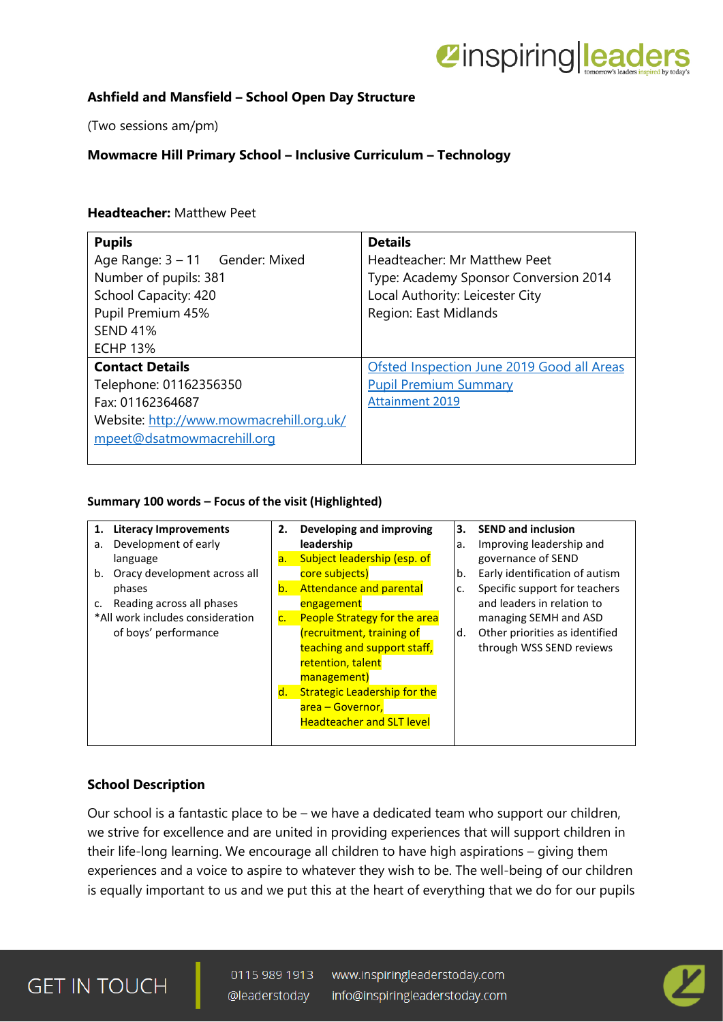

# **Ashfield and Mansfield – School Open Day Structure**

(Two sessions am/pm)

# **Mowmacre Hill Primary School – Inclusive Curriculum – Technology**

### **Headteacher:** Matthew Peet

| <b>Pupils</b><br>Age Range: $3 - 11$ Gender: Mixed<br>Number of pupils: 381<br>School Capacity: 420<br>Pupil Premium 45%<br><b>SEND 41%</b><br><b>ECHP 13%</b> | <b>Details</b><br>Headteacher: Mr Matthew Peet<br>Type: Academy Sponsor Conversion 2014<br>Local Authority: Leicester City<br>Region: East Midlands |
|----------------------------------------------------------------------------------------------------------------------------------------------------------------|-----------------------------------------------------------------------------------------------------------------------------------------------------|
| <b>Contact Details</b><br>Telephone: 01162356350<br>Fax: 01162364687<br>Website: http://www.mowmacrehill.org.uk/<br>mpeet@dsatmowmacrehill.org                 | Ofsted Inspection June 2019 Good all Areas<br><b>Pupil Premium Summary</b><br><b>Attainment 2019</b>                                                |

#### **Summary 100 words – Focus of the visit (Highlighted)**

| 1. Literacy Improvements           | 2.             | Developing and improving            | 3. | <b>SEND and inclusion</b>      |
|------------------------------------|----------------|-------------------------------------|----|--------------------------------|
| Development of early<br>а.         |                | leadership                          | a. | Improving leadership and       |
| language                           | a.             | Subject leadership (esp. of         |    | governance of SEND             |
| Oracy development across all<br>b. |                | core subjects)                      | b. | Early identification of autism |
| phases                             | $\mathsf{b}$ . | <b>Attendance and parental</b>      | c. | Specific support for teachers  |
| Reading across all phases<br>c.    |                | engagement                          |    | and leaders in relation to     |
| *All work includes consideration   | $\mathsf{C}$ . | People Strategy for the area        |    | managing SEMH and ASD          |
| of boys' performance               |                | (recruitment, training of           | d. | Other priorities as identified |
|                                    |                | teaching and support staff,         |    | through WSS SEND reviews       |
|                                    |                | retention, talent                   |    |                                |
|                                    |                | management)                         |    |                                |
|                                    | d.             | <b>Strategic Leadership for the</b> |    |                                |
|                                    |                | area – Governor,                    |    |                                |
|                                    |                | <b>Headteacher and SLT level</b>    |    |                                |
|                                    |                |                                     |    |                                |

### **School Description**

Our school is a fantastic place to be – we have a dedicated team who support our children, we strive for excellence and are united in providing experiences that will support children in their life-long learning. We encourage all children to have high aspirations – giving them experiences and a voice to aspire to whatever they wish to be. The well-being of our children is equally important to us and we put this at the heart of everything that we do for our pupils

# **GET IN TOUCH**

0115 989 1913 www.inspiringleaderstoday.com @leaderstoday info@inspiringleaderstoday.com

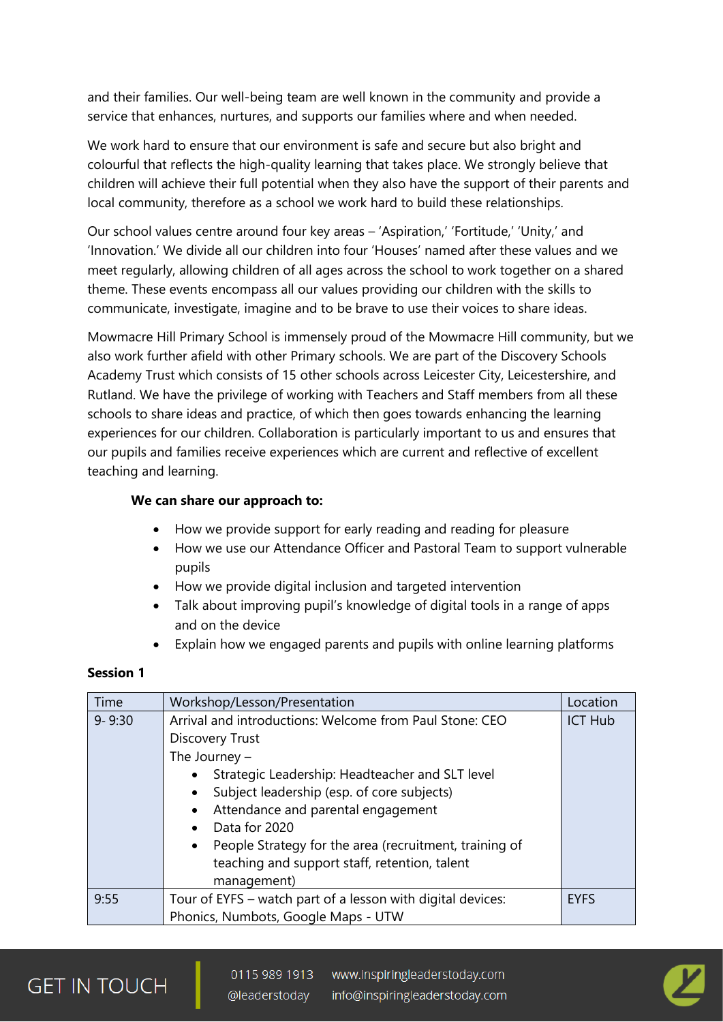and their families. Our well-being team are well known in the community and provide a service that enhances, nurtures, and supports our families where and when needed.

We work hard to ensure that our environment is safe and secure but also bright and colourful that reflects the high-quality learning that takes place. We strongly believe that children will achieve their full potential when they also have the support of their parents and local community, therefore as a school we work hard to build these relationships.

Our school values centre around four key areas – 'Aspiration,' 'Fortitude,' 'Unity,' and 'Innovation.' We divide all our children into four 'Houses' named after these values and we meet regularly, allowing children of all ages across the school to work together on a shared theme. These events encompass all our values providing our children with the skills to communicate, investigate, imagine and to be brave to use their voices to share ideas.

Mowmacre Hill Primary School is immensely proud of the Mowmacre Hill community, but we also work further afield with other Primary schools. We are part of the Discovery Schools Academy Trust which consists of 15 other schools across Leicester City, Leicestershire, and Rutland. We have the privilege of working with Teachers and Staff members from all these schools to share ideas and practice, of which then goes towards enhancing the learning experiences for our children. Collaboration is particularly important to us and ensures that our pupils and families receive experiences which are current and reflective of excellent teaching and learning.

### **We can share our approach to:**

- How we provide support for early reading and reading for pleasure
- How we use our Attendance Officer and Pastoral Team to support vulnerable pupils
- How we provide digital inclusion and targeted intervention
- Talk about improving pupil's knowledge of digital tools in a range of apps and on the device
- Explain how we engaged parents and pupils with online learning platforms

### **Session 1**

| Time       | Workshop/Lesson/Presentation                                                                                                                                                                                                                                                                                                                                                                                                  | Location       |
|------------|-------------------------------------------------------------------------------------------------------------------------------------------------------------------------------------------------------------------------------------------------------------------------------------------------------------------------------------------------------------------------------------------------------------------------------|----------------|
| $9 - 9:30$ | Arrival and introductions: Welcome from Paul Stone: CEO<br><b>Discovery Trust</b><br>The Journey $-$<br>Strategic Leadership: Headteacher and SLT level<br>Subject leadership (esp. of core subjects)<br>Attendance and parental engagement<br>$\bullet$<br>Data for 2020<br>$\bullet$<br>People Strategy for the area (recruitment, training of<br>$\bullet$<br>teaching and support staff, retention, talent<br>management) | <b>ICT Hub</b> |
| 9:55       | Tour of EYFS - watch part of a lesson with digital devices:<br>Phonics, Numbots, Google Maps - UTW                                                                                                                                                                                                                                                                                                                            | <b>EYFS</b>    |

# **GET IN TOUCH**